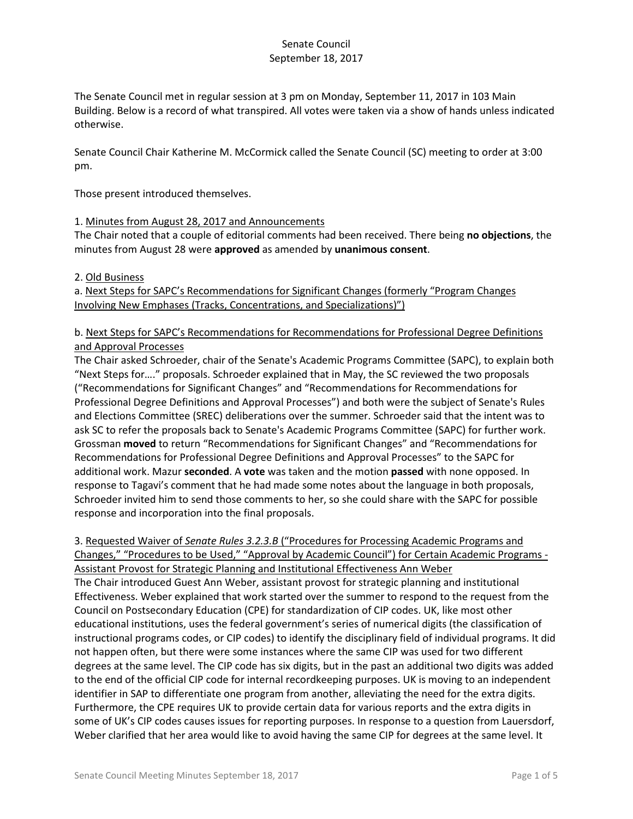The Senate Council met in regular session at 3 pm on Monday, September 11, 2017 in 103 Main Building. Below is a record of what transpired. All votes were taken via a show of hands unless indicated otherwise.

Senate Council Chair Katherine M. McCormick called the Senate Council (SC) meeting to order at 3:00 pm.

Those present introduced themselves.

#### 1. Minutes from August 28, 2017 and Announcements

The Chair noted that a couple of editorial comments had been received. There being **no objections**, the minutes from August 28 were **approved** as amended by **unanimous consent**.

#### 2. Old Business

a. Next Steps for SAPC's Recommendations for Significant Changes (formerly "Program Changes Involving New Emphases (Tracks, Concentrations, and Specializations)")

# b. Next Steps for SAPC's Recommendations for Recommendations for Professional Degree Definitions and Approval Processes

The Chair asked Schroeder, chair of the Senate's Academic Programs Committee (SAPC), to explain both "Next Steps for…." proposals. Schroeder explained that in May, the SC reviewed the two proposals ("Recommendations for Significant Changes" and "Recommendations for Recommendations for Professional Degree Definitions and Approval Processes") and both were the subject of Senate's Rules and Elections Committee (SREC) deliberations over the summer. Schroeder said that the intent was to ask SC to refer the proposals back to Senate's Academic Programs Committee (SAPC) for further work. Grossman **moved** to return "Recommendations for Significant Changes" and "Recommendations for Recommendations for Professional Degree Definitions and Approval Processes" to the SAPC for additional work. Mazur **seconded**. A **vote** was taken and the motion **passed** with none opposed. In response to Tagavi's comment that he had made some notes about the language in both proposals, Schroeder invited him to send those comments to her, so she could share with the SAPC for possible response and incorporation into the final proposals.

### 3. Requested Waiver of *Senate Rules 3.2.3.B* ("Procedures for Processing Academic Programs and Changes," "Procedures to be Used," "Approval by Academic Council") for Certain Academic Programs - Assistant Provost for Strategic Planning and Institutional Effectiveness Ann Weber

The Chair introduced Guest Ann Weber, assistant provost for strategic planning and institutional Effectiveness. Weber explained that work started over the summer to respond to the request from the Council on Postsecondary Education (CPE) for standardization of CIP codes. UK, like most other educational institutions, uses the federal government's series of numerical digits (the classification of instructional programs codes, or CIP codes) to identify the disciplinary field of individual programs. It did not happen often, but there were some instances where the same CIP was used for two different degrees at the same level. The CIP code has six digits, but in the past an additional two digits was added to the end of the official CIP code for internal recordkeeping purposes. UK is moving to an independent identifier in SAP to differentiate one program from another, alleviating the need for the extra digits. Furthermore, the CPE requires UK to provide certain data for various reports and the extra digits in some of UK's CIP codes causes issues for reporting purposes. In response to a question from Lauersdorf, Weber clarified that her area would like to avoid having the same CIP for degrees at the same level. It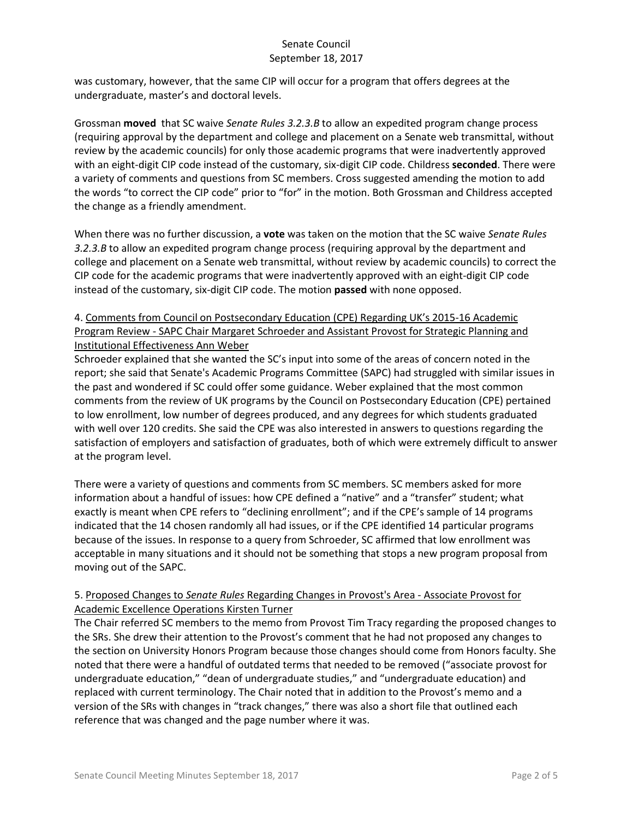was customary, however, that the same CIP will occur for a program that offers degrees at the undergraduate, master's and doctoral levels.

Grossman **moved** that SC waive *Senate Rules 3.2.3.B* to allow an expedited program change process (requiring approval by the department and college and placement on a Senate web transmittal, without review by the academic councils) for only those academic programs that were inadvertently approved with an eight-digit CIP code instead of the customary, six-digit CIP code. Childress **seconded**. There were a variety of comments and questions from SC members. Cross suggested amending the motion to add the words "to correct the CIP code" prior to "for" in the motion. Both Grossman and Childress accepted the change as a friendly amendment.

When there was no further discussion, a **vote** was taken on the motion that the SC waive *Senate Rules 3.2.3.B* to allow an expedited program change process (requiring approval by the department and college and placement on a Senate web transmittal, without review by academic councils) to correct the CIP code for the academic programs that were inadvertently approved with an eight-digit CIP code instead of the customary, six-digit CIP code. The motion **passed** with none opposed.

# 4. Comments from Council on Postsecondary Education (CPE) Regarding UK's 2015-16 Academic Program Review - SAPC Chair Margaret Schroeder and Assistant Provost for Strategic Planning and Institutional Effectiveness Ann Weber

Schroeder explained that she wanted the SC's input into some of the areas of concern noted in the report; she said that Senate's Academic Programs Committee (SAPC) had struggled with similar issues in the past and wondered if SC could offer some guidance. Weber explained that the most common comments from the review of UK programs by the Council on Postsecondary Education (CPE) pertained to low enrollment, low number of degrees produced, and any degrees for which students graduated with well over 120 credits. She said the CPE was also interested in answers to questions regarding the satisfaction of employers and satisfaction of graduates, both of which were extremely difficult to answer at the program level.

There were a variety of questions and comments from SC members. SC members asked for more information about a handful of issues: how CPE defined a "native" and a "transfer" student; what exactly is meant when CPE refers to "declining enrollment"; and if the CPE's sample of 14 programs indicated that the 14 chosen randomly all had issues, or if the CPE identified 14 particular programs because of the issues. In response to a query from Schroeder, SC affirmed that low enrollment was acceptable in many situations and it should not be something that stops a new program proposal from moving out of the SAPC.

# 5. Proposed Changes to *Senate Rules* Regarding Changes in Provost's Area - Associate Provost for Academic Excellence Operations Kirsten Turner

The Chair referred SC members to the memo from Provost Tim Tracy regarding the proposed changes to the SRs. She drew their attention to the Provost's comment that he had not proposed any changes to the section on University Honors Program because those changes should come from Honors faculty. She noted that there were a handful of outdated terms that needed to be removed ("associate provost for undergraduate education," "dean of undergraduate studies," and "undergraduate education) and replaced with current terminology. The Chair noted that in addition to the Provost's memo and a version of the SRs with changes in "track changes," there was also a short file that outlined each reference that was changed and the page number where it was.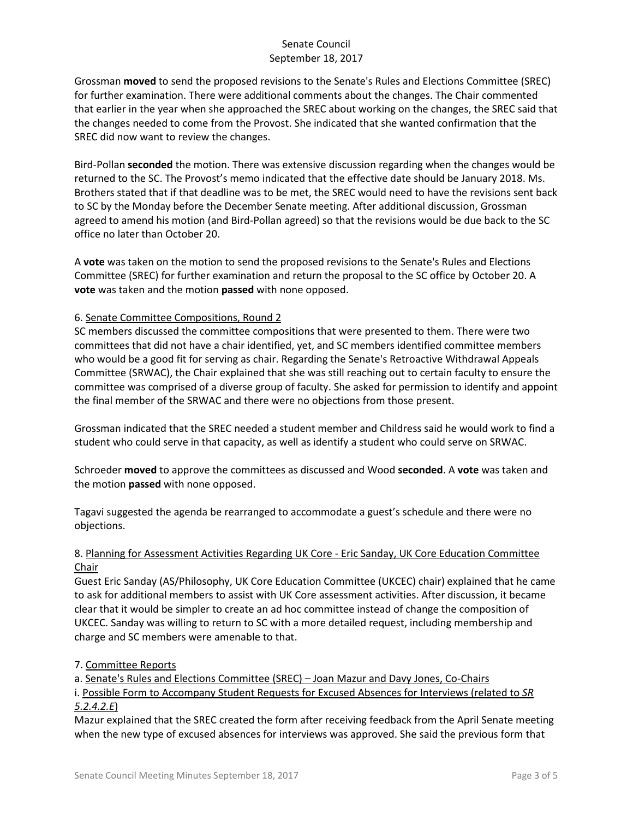Grossman **moved** to send the proposed revisions to the Senate's Rules and Elections Committee (SREC) for further examination. There were additional comments about the changes. The Chair commented that earlier in the year when she approached the SREC about working on the changes, the SREC said that the changes needed to come from the Provost. She indicated that she wanted confirmation that the SREC did now want to review the changes.

Bird-Pollan **seconded** the motion. There was extensive discussion regarding when the changes would be returned to the SC. The Provost's memo indicated that the effective date should be January 2018. Ms. Brothers stated that if that deadline was to be met, the SREC would need to have the revisions sent back to SC by the Monday before the December Senate meeting. After additional discussion, Grossman agreed to amend his motion (and Bird-Pollan agreed) so that the revisions would be due back to the SC office no later than October 20.

A **vote** was taken on the motion to send the proposed revisions to the Senate's Rules and Elections Committee (SREC) for further examination and return the proposal to the SC office by October 20. A **vote** was taken and the motion **passed** with none opposed.

## 6. Senate Committee Compositions, Round 2

SC members discussed the committee compositions that were presented to them. There were two committees that did not have a chair identified, yet, and SC members identified committee members who would be a good fit for serving as chair. Regarding the Senate's Retroactive Withdrawal Appeals Committee (SRWAC), the Chair explained that she was still reaching out to certain faculty to ensure the committee was comprised of a diverse group of faculty. She asked for permission to identify and appoint the final member of the SRWAC and there were no objections from those present.

Grossman indicated that the SREC needed a student member and Childress said he would work to find a student who could serve in that capacity, as well as identify a student who could serve on SRWAC.

Schroeder **moved** to approve the committees as discussed and Wood **seconded**. A **vote** was taken and the motion **passed** with none opposed.

Tagavi suggested the agenda be rearranged to accommodate a guest's schedule and there were no objections.

## 8. Planning for Assessment Activities Regarding UK Core - Eric Sanday, UK Core Education Committee Chair

Guest Eric Sanday (AS/Philosophy, UK Core Education Committee (UKCEC) chair) explained that he came to ask for additional members to assist with UK Core assessment activities. After discussion, it became clear that it would be simpler to create an ad hoc committee instead of change the composition of UKCEC. Sanday was willing to return to SC with a more detailed request, including membership and charge and SC members were amenable to that.

#### 7. Committee Reports

a. Senate's Rules and Elections Committee (SREC) – Joan Mazur and Davy Jones, Co-Chairs

i. Possible Form to Accompany Student Requests for Excused Absences for Interviews (related to *SR 5.2.4.2.E*)

Mazur explained that the SREC created the form after receiving feedback from the April Senate meeting when the new type of excused absences for interviews was approved. She said the previous form that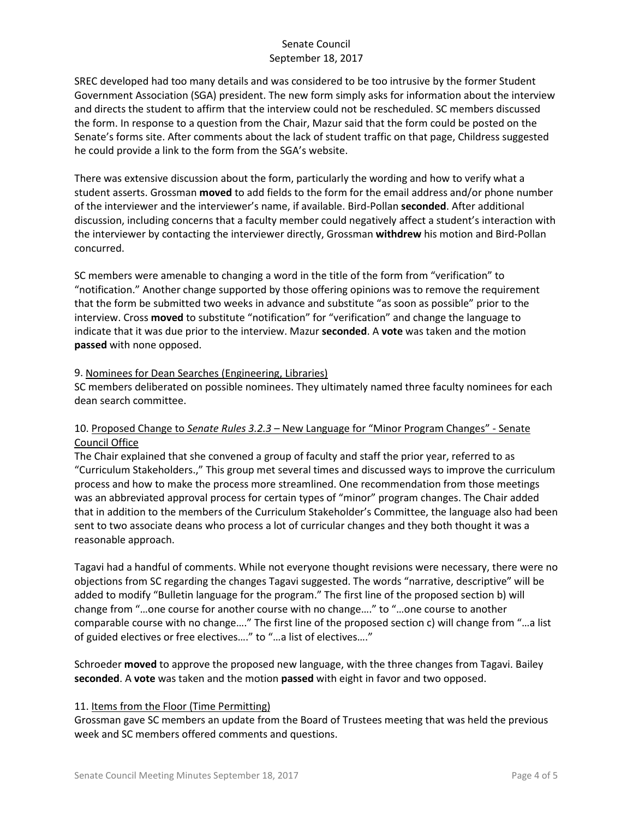SREC developed had too many details and was considered to be too intrusive by the former Student Government Association (SGA) president. The new form simply asks for information about the interview and directs the student to affirm that the interview could not be rescheduled. SC members discussed the form. In response to a question from the Chair, Mazur said that the form could be posted on the Senate's forms site. After comments about the lack of student traffic on that page, Childress suggested he could provide a link to the form from the SGA's website.

There was extensive discussion about the form, particularly the wording and how to verify what a student asserts. Grossman **moved** to add fields to the form for the email address and/or phone number of the interviewer and the interviewer's name, if available. Bird-Pollan **seconded**. After additional discussion, including concerns that a faculty member could negatively affect a student's interaction with the interviewer by contacting the interviewer directly, Grossman **withdrew** his motion and Bird-Pollan concurred.

SC members were amenable to changing a word in the title of the form from "verification" to "notification." Another change supported by those offering opinions was to remove the requirement that the form be submitted two weeks in advance and substitute "as soon as possible" prior to the interview. Cross **moved** to substitute "notification" for "verification" and change the language to indicate that it was due prior to the interview. Mazur **seconded**. A **vote** was taken and the motion **passed** with none opposed.

#### 9. Nominees for Dean Searches (Engineering, Libraries)

SC members deliberated on possible nominees. They ultimately named three faculty nominees for each dean search committee.

## 10. Proposed Change to *Senate Rules 3.2.3* – New Language for "Minor Program Changes" - Senate Council Office

The Chair explained that she convened a group of faculty and staff the prior year, referred to as "Curriculum Stakeholders.," This group met several times and discussed ways to improve the curriculum process and how to make the process more streamlined. One recommendation from those meetings was an abbreviated approval process for certain types of "minor" program changes. The Chair added that in addition to the members of the Curriculum Stakeholder's Committee, the language also had been sent to two associate deans who process a lot of curricular changes and they both thought it was a reasonable approach.

Tagavi had a handful of comments. While not everyone thought revisions were necessary, there were no objections from SC regarding the changes Tagavi suggested. The words "narrative, descriptive" will be added to modify "Bulletin language for the program." The first line of the proposed section b) will change from "…one course for another course with no change…." to "…one course to another comparable course with no change…." The first line of the proposed section c) will change from "…a list of guided electives or free electives…." to "…a list of electives…."

Schroeder **moved** to approve the proposed new language, with the three changes from Tagavi. Bailey **seconded**. A **vote** was taken and the motion **passed** with eight in favor and two opposed.

#### 11. Items from the Floor (Time Permitting)

Grossman gave SC members an update from the Board of Trustees meeting that was held the previous week and SC members offered comments and questions.